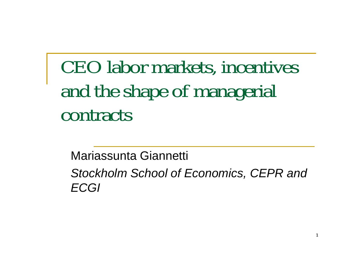# CEO labor markets, incentives and the shape of managerial contracts

Mariassunta Giannetti

*Stockholm School of Economics, CEPR and ECGI*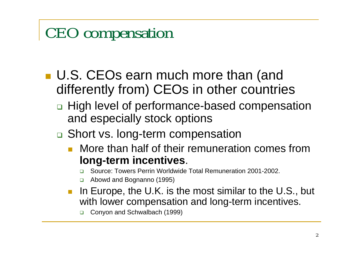#### CEO compensation

- U.S. CEOs earn much more than (and differently from) CEOs in other countries
	- □ High level of performance-based compensation and especially stock options
	- □ Short vs. long-term compensation
		- $\mathbb{R}^3$  More than half of their remuneration comes from **long-term incentives**.
			- ❏ Source: Towers Perrin Worldwide Total Remuneration 2001-2002.
			- ❏ Abow d and Bognanno (1995)
		- E In Europe, the U.K. is the most similar to the U.S., but with lower compensation and long-term incentives.
			- ❏ Conyon and Schwalbach (1999)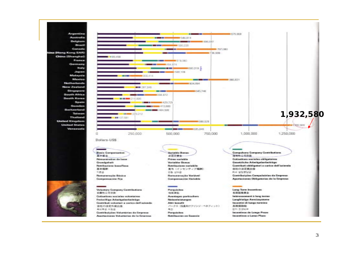Argentina Australia Belgium Brazil Canada tina (Hong Kong SAR) China (Shanghai) France Germany **Italy** Japan Malaysia Mexico **Netherlands** New Zealand Sincepore South Africa South Kores Spain Sweden Switzerland Teiwan Theiland **United Kingdom United States** Wanezuela



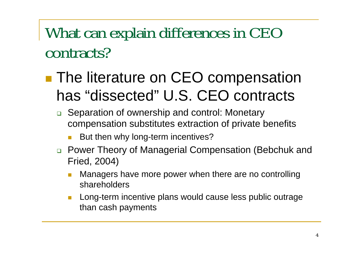#### What can explain differences in CEO contracts?

- pa.<br>Kabupatèn **The literature on CEO compensation** has "dissected" U.S. CEO contracts
	- □ Separation of ownership and control: Monetary compensation substitutes extraction of private benefits
		- But then why long-term incentives?
	- □ Power Theory of Managerial Compensation (Bebchuk and Fried, 2004)
		- Managers have more power when there are no controlling shareholders
		- $\overline{\mathcal{A}}$  Long-term incentive plans would cause less public outrage than cash payments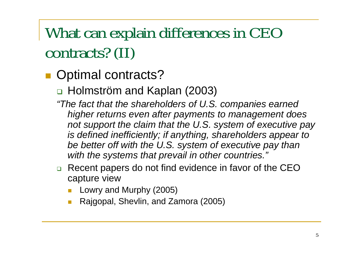#### What can explain differences in CEO contracts? (II)

- Optimal contracts?
	- Holmström and Kaplan (2003)
	- *"The fact that the shareholders of U.S. companies earned higher returns even after payments to management does not support the claim that the U.S. system of executive pay is defined inefficiently; if anything, shareholders appear to be better off with the U.S. system of executive pay than with the systems that prevail in other countries."*
	- □ Recent papers do not find evidence in favor of the CEO capture view
		- F Lowry and Murphy (2005)
		- Rajgopal, Shevlin, and Zamora (2005)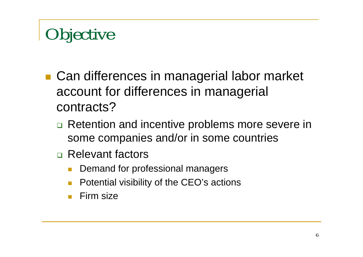# **Objective**

- Can differences in managerial labor market account for differences in managerial contracts?
	- □ Retention and incentive problems more severe in some companies and/or in some countries
	- □ Relevant factors
		- $\Box$ Demand for professional managers
		- $\Box$ Potential visibility of the CEO's actions
		- $\Box$ Firm size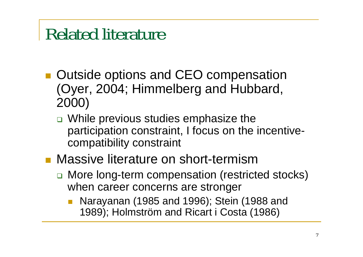## Related literature

- Outside options and CEO compensation (Oyer, 2004; Himmelberg and Hubbard, 2000)
	- □ While previous studies emphasize the participation constraint, I focus on the incentivecompatibility constraint
- **Massive literature on short-termism** 
	- □ More long-term compensation (restricted stocks) when career concerns are stronger
		- Narayanan (1985 and 1996); Stein (1988 and 1989); Holmström and Ricart i Costa (1986)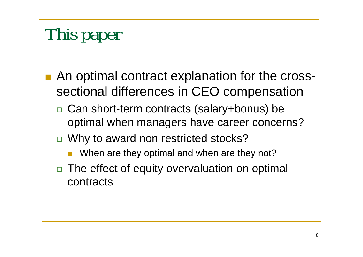# This paper

- An optimal contract explanation for the crosssectional differences in CEO compensation
	- □ Can short-term contracts (salary+bonus) be optimal when managers have career concerns?
	- □ Why to award non restricted stocks?
		- $\Box$ When are they optimal and when are they not?
	- □ The effect of equity overvaluation on optimal contracts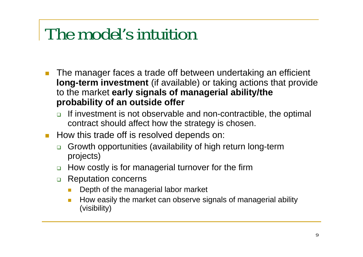## The model's intuition

- $\overline{\mathcal{A}}$  The manager faces a trade off between undertaking an efficient **long-term investment** (if available) or taking actions that provide to the market **early signals of managerial ability/the probability of an outside offer**
	- $\Box$  If investment is not observable and non-contractible, the optimal contract should affect how the strategy is chosen.
- $\mathcal{L}_{\text{max}}$  How this trade off is resolved depends on:
	- $\Box$  Growth opportunities (availability of high return long-term projects)
	- □ How costly is for managerial turnover for the firm
	- $\Box$  Reputation concerns
		- $\overline{\phantom{a}}$ Depth of the managerial labor market
		- $\mathcal{L}_{\mathcal{A}}$  How easily the market can observe signals of managerial ability (visibility)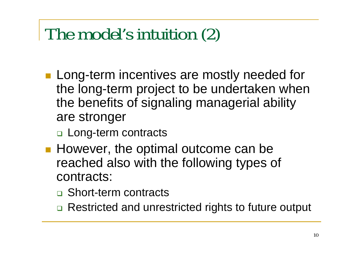## The model's intuition (2)

- **Long-term incentives are mostly needed for** the long-term project to be undertaken when the benefits of signaling managerial ability are stronger
	- □ Long-term contracts
- **However, the optimal outcome can be** reached also with the following types of contracts:
	- □ Short-term contracts
	- □ Restricted and unrestricted rights to future output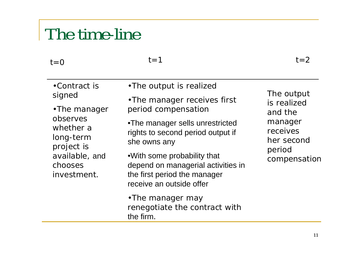#### The time-line

#### $t=0$   $t=1$   $t=2$  $t = 0$

 $t=1$ 

| •Contract is<br>signed<br>•The manager<br>observes<br>whether a<br>long-term<br>project is<br>available, and<br>chooses<br>investment. | •The output is realized                                                                                                                                                                                                | The output<br>is realized<br>and the<br>manager<br>receives<br>her second<br>period<br>compensation |
|----------------------------------------------------------------------------------------------------------------------------------------|------------------------------------------------------------------------------------------------------------------------------------------------------------------------------------------------------------------------|-----------------------------------------------------------------------------------------------------|
|                                                                                                                                        | • The manager receives first<br>period compensation                                                                                                                                                                    |                                                                                                     |
|                                                                                                                                        | •The manager sells unrestricted<br>rights to second period output if<br>she owns any<br>• With some probability that<br>depend on managerial activities in<br>the first period the manager<br>receive an outside offer |                                                                                                     |
|                                                                                                                                        | •The manager may<br>renegotiate the contract with<br>the firm.                                                                                                                                                         |                                                                                                     |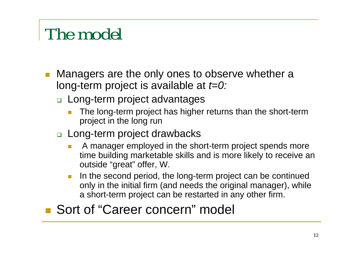## The model

- b. Managers are the only ones to observe whether a long-term project is available at *t=0:*
	- Long-term project advantages
		- F The long-term project has higher returns than the short-term project in the long run
	- Long-term project drawbacks
		- F A manager employed in the short-term project spends more time building marketable skills and is more likely to receive an outside "great" offer, W.
		- $\mathcal{L}_{\mathcal{A}}$  In the second period, the long-term project can be continued only in the initial firm (and needs the original manager), while a short-term project can be restarted in any other firm.

#### ■ Sort of "Career concern" model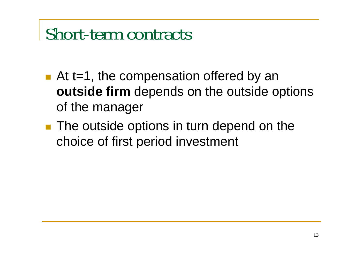### Short-term contracts

- $\blacksquare$  At t=1, the compensation offered by an **outside firm** depends on the outside options of the manager
- **The outside options in turn depend on the** choice of first period investment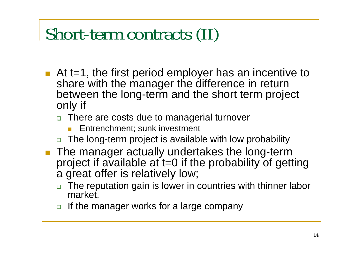## Short-term contracts (II)

- $\blacksquare$  At t=1, the first period employer has an incentive to share with the manager the difference in return between the long-term and the short term project only if
	- □ There are costs due to managerial turnover
		- F Entrenchment; sunk investment
	- The long-term project is available with low probability
- **The manager actually undertakes the long-term** project if available at t=0 if the probability of getting a great offer is relatively low;
	- □ The reputation gain is lower in countries with thinner labor market.
	- $\textcolor{red}{\mathsf{u}}$  If the manager works for a large company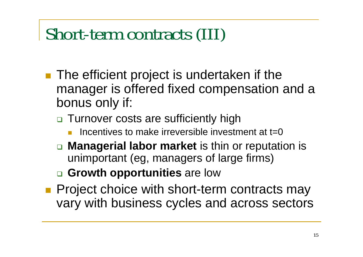## Short-term contracts (III)

- **The efficient project is undertaken if the** manager is offered fixed compensation and a bonus only if:
	- □ Turnover costs are sufficiently high
		- П Incentives to make irreversible investment at  $t=0$
	- **Managerial labor market** is thin or reputation is unimportant (eg, managers of large firms)
	- **Growth opportunities** are low
- **Project choice with short-term contracts may** vary with business cycles and across sectors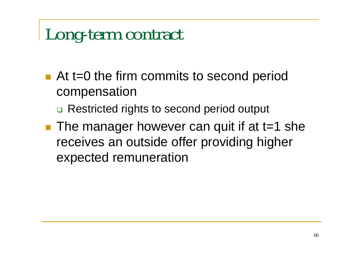## Long-term contract

- At t=0 the firm commits to second period compensation
	- □ Restricted rights to second period output
- The manager however can quit if at t=1 she receives an outside offer providing higher expected remuneration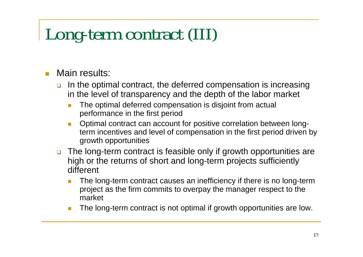## Long-term contract (III)

#### $\Box$ Main results:

- $\Box$  In the optimal contract, the deferred compensation is increasing in the level of transparency and the depth of the labor market
	- $\overline{\phantom{a}}$  The optimal deferred compensation is disjoint from actual performance in the first period
	- $\overline{\phantom{a}}$  Optimal contract can account for positive correlation between longterm incentives and level of compensation in the first period driven by growth opportunities
- □ The long-term contract is feasible only if growth opportunities are high or the returns of short and long-term projects sufficiently different
	- П The long-term contract causes an inefficiency if there is no long-term project as the firm commits to overpay the manager respect to the market
	- **The State** The long-term contract is not optimal if growth opportunities are low.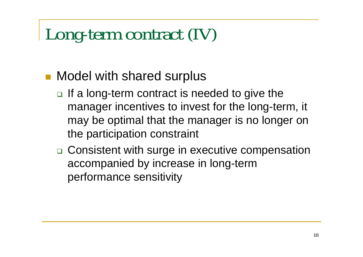## Long-term contract (IV)

#### **Nodel with shared surplus**

- $\Box$  If a long-term contract is needed to give the manager incentives to invest for the long-term, it may be optimal that the manager is no longer on the participation constraint
- □ Consistent with surge in executive compensation accompanied by increase in long-term performance sensitivity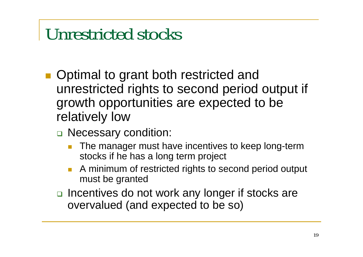## Unrestricted stocks

- Optimal to grant both restricted and unrestricted rights to second period output if growth opportunities are expected to be relatively low
	- □ Necessary condition:
		- $\Box$  The manager must have incentives to keep long-term stocks if he has a long term project
		- П A minimum of restricted rights to second period output must be granted
	- □ Incentives do not work any longer if stocks are overvalued (and expected to be so)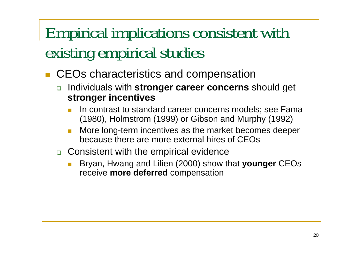### Empirical implications consistent with existing empirical studies

- П CEOs characteristics and compensation
	- **n** Individuals with stronger career concerns should get **stronger incentives**
		- In contrast to standard career concerns models; see Fama (1980), Holmstrom (1999) or Gibson and Murphy (1992)
		- More long-term incentives as the market becomes deeper because there are more external hires of CEOs
	- □ Consistent with the empirical evidence
		- F ■ Bryan, Hwang and Lilien (2000) show that **younger** CEOs receive **more deferred** compensation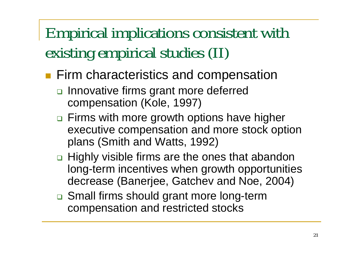### Empirical implications consistent with existing empirical studies (II)

- **Firm characteristics and compensation** 
	- □ Innovative firms grant more deferred compensation (Kole, 1997)
	- □ Firms with more growth options have higher executive compensation and more stock option plans (Smith and Watts, 1992)
	- □ Highly visible firms are the ones that abandon long-term incentives when growth opportunities decrease (Banerjee, Gatchev and Noe, 2004)
	- □ Small firms should grant more long-term compensation and restricted stocks